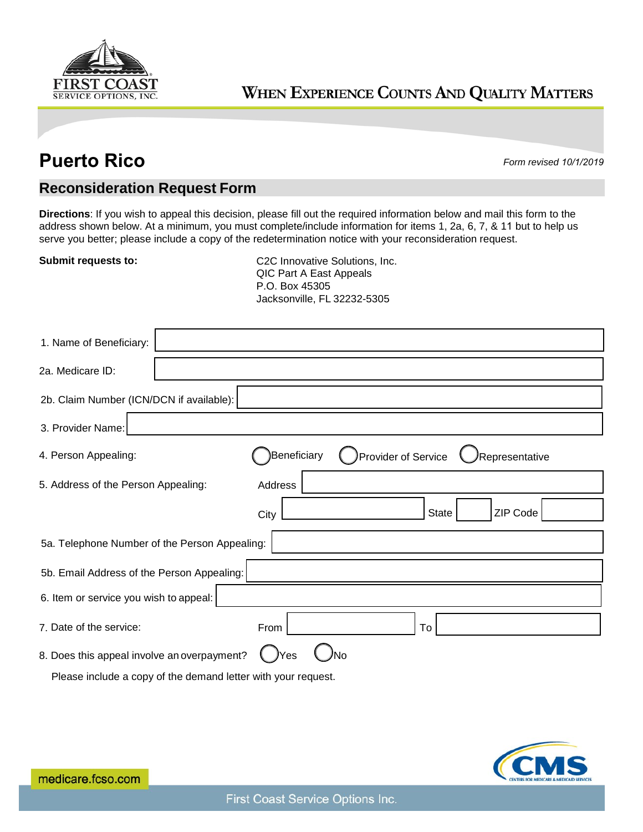

## WHEN EXPERIENCE COUNTS AND QUALITY MATTERS

## **Puerto Rico** *Form revised 10/1/2019*

## **Reconsideration Request Form**

**Directions**: If you wish to appeal this decision, please fill out the required information below and mail this form to the address shown below. At a minimum, you must complete/include information for items 1, 2a, 6, 7, & 11 but to help us serve you better; please include a copy of the redetermination notice with your reconsideration request.

**Submit requests to:** C2C Innovative Solutions, Inc. QIC Part A East Appeals P.O. Box 45305 Jacksonville, FL 32232-5305

| 1. Name of Beneficiary:                                       |                                                      |
|---------------------------------------------------------------|------------------------------------------------------|
| 2a. Medicare ID:                                              |                                                      |
| 2b. Claim Number (ICN/DCN if available):                      |                                                      |
| 3. Provider Name:                                             |                                                      |
| 4. Person Appealing:                                          | Beneficiary<br>Provider of Service<br>Representative |
| 5. Address of the Person Appealing:                           | Address                                              |
|                                                               | ZIP Code<br><b>State</b><br>City                     |
| 5a. Telephone Number of the Person Appealing:                 |                                                      |
| 5b. Email Address of the Person Appealing:                    |                                                      |
| 6. Item or service you wish to appeal:                        |                                                      |
| 7. Date of the service:                                       | To<br>From                                           |
| 8. Does this appeal involve an overpayment?                   | Yes<br>No                                            |
| Please include a copy of the demand letter with your request. |                                                      |